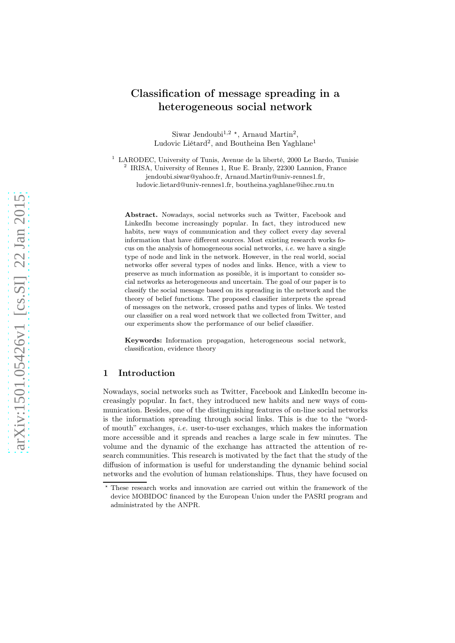# Classification of message spreading in a heterogeneous social network

Siwar Jendoubi<sup>1,2</sup><sup> $\star$ </sup>, Arnaud Martin<sup>2</sup>, Ludovic Liétard<sup>2</sup>, and Boutheina Ben Yaghlane<sup>1</sup>

 $^{\rm 1}$  LARODEC, University of Tunis, Avenue de la liberté, 2000 Le Bardo, Tunisie 2 IRISA, University of Rennes 1, Rue E. Branly, 22300 Lannion, France

jendoubi.siwar@yahoo.fr, Arnaud.Martin@univ-rennes1.fr, ludovic.lietard@univ-rennes1.fr, boutheina.yaghlane@ihec.rnu.tn

Abstract. Nowadays, social networks such as Twitter, Facebook and LinkedIn become increasingly popular. In fact, they introduced new habits, new ways of communication and they collect every day several information that have different sources. Most existing research works focus on the analysis of homogeneous social networks, *i.e.* we have a single type of node and link in the network. However, in the real world, social networks offer several types of nodes and links. Hence, with a view to preserve as much information as possible, it is important to consider social networks as heterogeneous and uncertain. The goal of our paper is to classify the social message based on its spreading in the network and the theory of belief functions. The proposed classifier interprets the spread of messages on the network, crossed paths and types of links. We tested our classifier on a real word network that we collected from Twitter, and our experiments show the performance of our belief classifier.

Keywords: Information propagation, heterogeneous social network, classification, evidence theory

### 1 Introduction

Nowadays, social networks such as Twitter, Facebook and LinkedIn become increasingly popular. In fact, they introduced new habits and new ways of communication. Besides, one of the distinguishing features of on-line social networks is the information spreading through social links. This is due to the "wordof mouth" exchanges, i.e. user-to-user exchanges, which makes the information more accessible and it spreads and reaches a large scale in few minutes. The volume and the dynamic of the exchange has attracted the attention of research communities. This research is motivated by the fact that the study of the diffusion of information is useful for understanding the dynamic behind social networks and the evolution of human relationships. Thus, they have focused on

 $^\star$  These research works and innovation are carried out within the framework of the device MOBIDOC financed by the European Union under the PASRI program and administrated by the ANPR.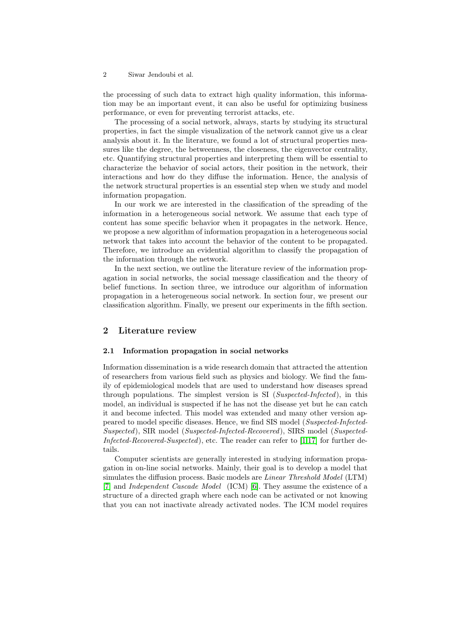### 2 Siwar Jendoubi et al.

the processing of such data to extract high quality information, this information may be an important event, it can also be useful for optimizing business performance, or even for preventing terrorist attacks, etc.

The processing of a social network, always, starts by studying its structural properties, in fact the simple visualization of the network cannot give us a clear analysis about it. In the literature, we found a lot of structural properties measures like the degree, the betweenness, the closeness, the eigenvector centrality, etc. Quantifying structural properties and interpreting them will be essential to characterize the behavior of social actors, their position in the network, their interactions and how do they diffuse the information. Hence, the analysis of the network structural properties is an essential step when we study and model information propagation.

In our work we are interested in the classification of the spreading of the information in a heterogeneous social network. We assume that each type of content has some specific behavior when it propagates in the network. Hence, we propose a new algorithm of information propagation in a heterogeneous social network that takes into account the behavior of the content to be propagated. Therefore, we introduce an evidential algorithm to classify the propagation of the information through the network.

In the next section, we outline the literature review of the information propagation in social networks, the social message classification and the theory of belief functions. In section three, we introduce our algorithm of information propagation in a heterogeneous social network. In section four, we present our classification algorithm. Finally, we present our experiments in the fifth section.

# 2 Literature review

### 2.1 Information propagation in social networks

Information dissemination is a wide research domain that attracted the attention of researchers from various field such as physics and biology. We find the family of epidemiological models that are used to understand how diseases spread through populations. The simplest version is SI (Suspected-Infected), in this model, an individual is suspected if he has not the disease yet but he can catch it and become infected. This model was extended and many other version appeared to model specific diseases. Hence, we find SIS model (Suspected-Infected-Suspected), SIR model (Suspected-Infected-Recovered), SIRS model (Suspected-Infected-Recovered-Suspected), etc. The reader can refer to [\[1,](#page-8-0)[17\]](#page-9-0) for further details.

Computer scientists are generally interested in studying information propagation in on-line social networks. Mainly, their goal is to develop a model that simulates the diffusion process. Basic models are *Linear Threshold Model* (LTM) [\[7\]](#page-9-1) and Independent Cascade Model (ICM) [\[6\]](#page-9-2). They assume the existence of a structure of a directed graph where each node can be activated or not knowing that you can not inactivate already activated nodes. The ICM model requires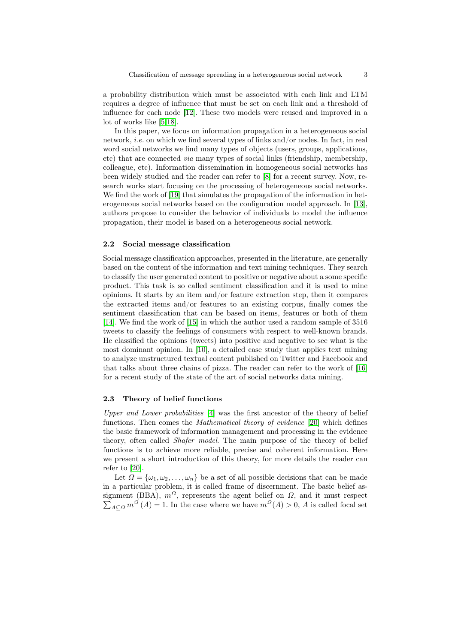a probability distribution which must be associated with each link and LTM requires a degree of influence that must be set on each link and a threshold of influence for each node [\[12\]](#page-9-3). These two models were reused and improved in a lot of works like [\[5](#page-9-4)[,18\]](#page-9-5).

In this paper, we focus on information propagation in a heterogeneous social network, i.e. on which we find several types of links and/or nodes. In fact, in real word social networks we find many types of objects (users, groups, applications, etc) that are connected via many types of social links (friendship, membership, colleague, etc). Information dissemination in homogeneous social networks has been widely studied and the reader can refer to [\[8\]](#page-9-6) for a recent survey. Now, research works start focusing on the processing of heterogeneous social networks. We find the work of [\[19\]](#page-9-7) that simulates the propagation of the information in heterogeneous social networks based on the configuration model approach. In [\[13\]](#page-9-8), authors propose to consider the behavior of individuals to model the influence propagation, their model is based on a heterogeneous social network.

### 2.2 Social message classification

Social message classification approaches, presented in the literature, are generally based on the content of the information and text mining techniques. They search to classify the user generated content to positive or negative about a some specific product. This task is so called sentiment classification and it is used to mine opinions. It starts by an item and/or feature extraction step, then it compares the extracted items and/or features to an existing corpus, finally comes the sentiment classification that can be based on items, features or both of them [\[14\]](#page-9-9). We find the work of [\[15\]](#page-9-10) in which the author used a random sample of 3516 tweets to classify the feelings of consumers with respect to well-known brands. He classified the opinions (tweets) into positive and negative to see what is the most dominant opinion. In [\[10\]](#page-9-11), a detailed case study that applies text mining to analyze unstructured textual content published on Twitter and Facebook and that talks about three chains of pizza. The reader can refer to the work of [\[16\]](#page-9-12) for a recent study of the state of the art of social networks data mining.

### 2.3 Theory of belief functions

Upper and Lower probabilities [\[4\]](#page-9-13) was the first ancestor of the theory of belief functions. Then comes the Mathematical theory of evidence [\[20\]](#page-9-14) which defines the basic framework of information management and processing in the evidence theory, often called *Shafer model*. The main purpose of the theory of belief functions is to achieve more reliable, precise and coherent information. Here we present a short introduction of this theory, for more details the reader can refer to [\[20\]](#page-9-14).

Let  $\Omega = {\omega_1, \omega_2, \ldots, \omega_n}$  be a set of all possible decisions that can be made in a particular problem, it is called frame of discernment. The basic belief assignment (BBA),  $m^{\Omega}$ , represents the agent belief on  $\Omega$ , and it must respect  $\sum_{A \subseteq \Omega} m^{\Omega}(A) = 1$ . In the case where we have  $m^{\Omega}(A) > 0$ , A is called focal set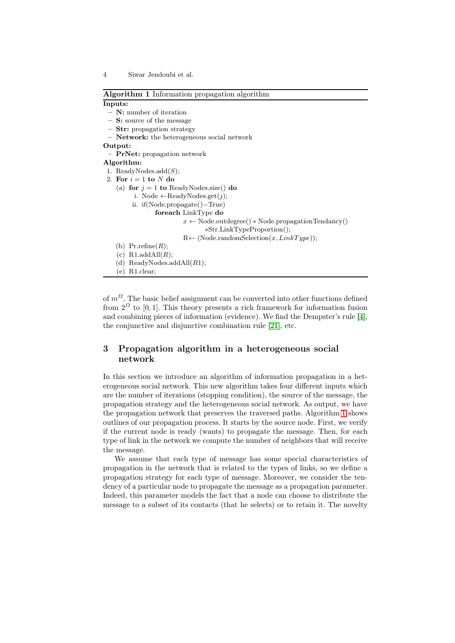<span id="page-3-0"></span>

| <b>Algorithm 1</b> Information propagation algorithm         |
|--------------------------------------------------------------|
| Inputs:                                                      |
| $-$ N: number of iteration                                   |
| $-$ S: source of the message                                 |
| $-$ <b>Str:</b> propagation strategy                         |
| - Network: the heterogeneous social network                  |
| Output:                                                      |
| $-$ PrNet: propagation network                               |
| Algorithm:                                                   |
| 1. ReadyNodes. $add(S);$                                     |
| 2. For $i=1$ to N do                                         |
| (a) for $j = 1$ to ReadyNodes.size() do                      |
| i. Node $\leftarrow$ ReadyNodes.get(j);                      |
| ii. if (Node.propagate()=True)                               |
| foreach LinkType do                                          |
| $x \leftarrow$ Node.outdegree() * Node.propagationTendancy() |
| $*Str.LinkTypeProportion();$                                 |
| $R \leftarrow (Node.randomSelection(x, LinkType))$ ;         |
| (b) $Pr.\mathrm{refine}(R);$                                 |
| R1.addAll(R);<br>(c)                                         |
| ReadyNodes.addAll(R1);<br>(d)                                |
| R1.clear;<br>(e)                                             |

of  $m^{\Omega}$ . The basic belief assignment can be converted into other functions defined from  $2^{\Omega}$  to [0, 1]. This theory presents a rich framework for information fusion and combining pieces of information (evidence). We find the Dempster's rule [\[4\]](#page-9-13), the conjunctive and disjunctive combination rule [\[21\]](#page-9-15), etc.

# 3 Propagation algorithm in a heterogeneous social network

In this section we introduce an algorithm of information propagation in a heterogeneous social network. This new algorithm takes four different inputs which are the number of iterations (stopping condition), the source of the message, the propagation strategy and the heterogeneous social network. As output, we have the propagation network that preserves the traversed paths. Algorithm [1](#page-3-0) shows outlines of our propagation process. It starts by the source node. First, we verify if the current node is ready (wants) to propagate the message. Then, for each type of link in the network we compute the number of neighbors that will receive the message.

We assume that each type of message has some special characteristics of propagation in the network that is related to the types of links, so we define a propagation strategy for each type of message. Moreover, we consider the tendency of a particular node to propagate the message as a propagation parameter. Indeed, this parameter models the fact that a node can choose to distribute the message to a subset of its contacts (that he selects) or to retain it. The novelty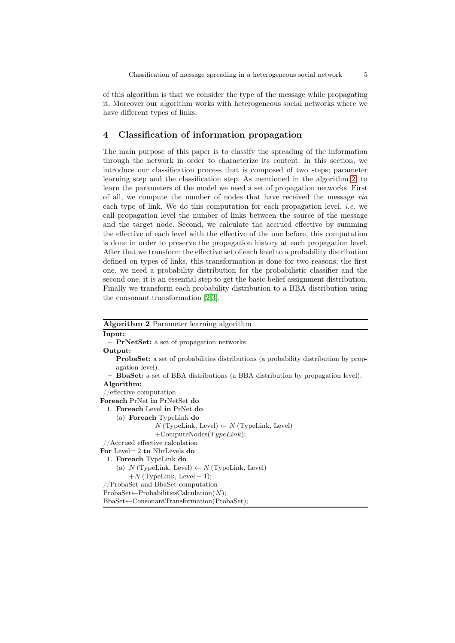of this algorithm is that we consider the type of the message while propagating it. Moreover our algorithm works with heterogeneous social networks where we have different types of links.

## 4 Classification of information propagation

The main purpose of this paper is to classify the spreading of the information through the network in order to characterize its content. In this section, we introduce our classification process that is composed of two steps; parameter learning step and the classification step. As mentioned in the algorithm [2,](#page-4-0) to learn the parameters of the model we need a set of propagation networks. First of all, we compute the number of nodes that have received the message via each type of link. We do this computation for each propagation level, *i.e.* we call propagation level the number of links between the source of the message and the target node. Second, we calculate the accrued effective by summing the effective of each level with the effective of the one before, this computation is done in order to preserve the propagation history at each propagation level. After that we transform the effective set of each level to a probability distribution defined on types of links, this transformation is done for two reasons; the first one, we need a probability distribution for the probabilistic classifier and the second one, it is an essential step to get the basic belief assignment distribution. Finally we transform each probability distribution to a BBA distribution using the consonant transformation [\[2](#page-9-16)[,3\]](#page-9-17).

# <span id="page-4-0"></span>Algorithm 2 Parameter learning algorithm

Input:

– PrNetSet: a set of propagation networks

Output:

- ProbaSet: a set of probabilities distributions (a probability distribution by propagation level).
- BbaSet: a set of BBA distributions (a BBA distribution by propagation level). Algorithm:

//effective computation

Foreach PrNet in PrNetSet do

- 1. Foreach Level in PrNet do
	- (a) Foreach TypeLink do
		- $N$  (TypeLink, Level)  $\leftarrow$  N (TypeLink, Level)

 $+ComputeNodes(TypeLink);$ 

//Accrued effective calculation

- For Level= 2 to NbrLevels do
	- 1. Foreach TypeLink do

(a)  $N$  (TypeLink, Level)  $\leftarrow$  N (TypeLink, Level)

 $+N$  (TypeLink, Level  $-1$ );

//ProbaSet and BbaSet computation

 $ProbabilityiesCalculation(N);$ 

BbaSet←ConsonantTransformation(ProbaSet);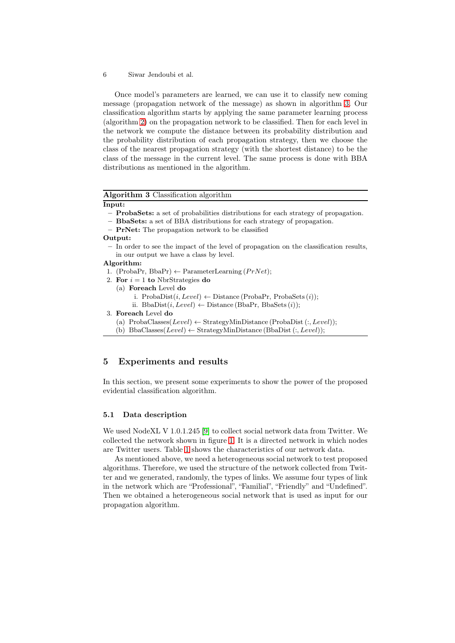6 Siwar Jendoubi et al.

Once model's parameters are learned, we can use it to classify new coming message (propagation network of the message) as shown in algorithm [3.](#page-5-0) Our classification algorithm starts by applying the same parameter learning process (algorithm [2\)](#page-4-0) on the propagation network to be classified. Then for each level in the network we compute the distance between its probability distribution and the probability distribution of each propagation strategy, then we choose the class of the nearest propagation strategy (with the shortest distance) to be the class of the message in the current level. The same process is done with BBA distributions as mentioned in the algorithm.

### <span id="page-5-0"></span>Algorithm 3 Classification algorithm Input:

– ProbaSets: a set of probabilities distributions for each strategy of propagation.

- BbaSets: a set of BBA distributions for each strategy of propagation.
- PrNet: The propagation network to be classified

Output:

– In order to see the impact of the level of propagation on the classification results, in our output we have a class by level.

Algorithm:

- 1. (ProbaPr, BbaPr)  $\leftarrow$  ParameterLearning (*PrNet*);
- 2. For  $i = 1$  to NbrStrategies do
	- (a) Foreach Level do
		- i. Proba $Dist(i, Level) \leftarrow Distance(ProbaPr, ProbaSets(i));$
		- ii. BbaDist $(i, Level) \leftarrow Distance(BbaPr, BbaSets(i));$
- 3. Foreach Level do
	- (a) ProbaClasses( $Level$ ) ← StrategyMinDistance (ProbaDist (:, Level));
	- (b) BbaClasses( $Level$ ) ← StrategyMinDistance (BbaDist (:, Level));

# 5 Experiments and results

In this section, we present some experiments to show the power of the proposed evidential classification algorithm.

### 5.1 Data description

We used NodeXL V 1.0.1.245 [\[9\]](#page-9-18) to collect social network data from Twitter. We collected the network shown in figure [1.](#page-6-0) It is a directed network in which nodes are Twitter users. Table [1](#page-6-1) shows the characteristics of our network data.

As mentioned above, we need a heterogeneous social network to test proposed algorithms. Therefore, we used the structure of the network collected from Twitter and we generated, randomly, the types of links. We assume four types of link in the network which are "Professional", "Familial", "Friendly" and "Undefined". Then we obtained a heterogeneous social network that is used as input for our propagation algorithm.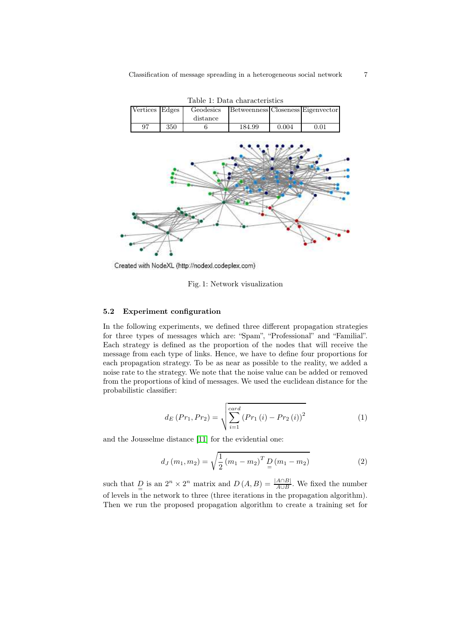<span id="page-6-1"></span><span id="page-6-0"></span>

|    |     | distance |        |       |      |
|----|-----|----------|--------|-------|------|
| 97 | 350 | $\,6$    | 184.99 | 0.004 | 0.01 |
|    |     |          |        |       |      |
|    |     |          |        |       |      |
|    |     |          |        |       |      |
|    |     |          |        |       |      |
|    |     |          |        |       |      |
|    |     |          |        |       |      |
|    |     |          |        |       |      |
|    |     |          |        |       |      |
|    |     |          |        |       |      |
|    |     |          |        |       |      |
|    |     |          |        |       |      |
|    |     |          |        |       |      |
|    |     |          |        |       |      |
|    |     |          |        |       |      |

Table 1: Data characteristics

Betweenness Closeness Eigenvector

Created with NodeXL (http://nodexl.codeplex.com)

Vertices Edges Geodesics

Fig. 1: Network visualization

### 5.2 Experiment configuration

In the following experiments, we defined three different propagation strategies for three types of messages which are: "Spam", "Professional" and "Familial". Each strategy is defined as the proportion of the nodes that will receive the message from each type of links. Hence, we have to define four proportions for each propagation strategy. To be as near as possible to the reality, we added a noise rate to the strategy. We note that the noise value can be added or removed from the proportions of kind of messages. We used the euclidean distance for the probabilistic classifier:

$$
d_{E}(Pr_{1}, Pr_{2}) = \sqrt{\sum_{i=1}^{card} (Pr_{1}(i) - Pr_{2}(i))^{2}}
$$
 (1)

and the Jousselme distance [\[11\]](#page-9-19) for the evidential one:

$$
d_{J}(m_{1}, m_{2}) = \sqrt{\frac{1}{2}(m_{1} - m_{2})^{T}} \frac{D}{m_{1} - m_{2}} \tag{2}
$$

such that  $\underline{D}$  is an  $2^n \times 2^n$  matrix and  $D(A, B) = \frac{|A \cap B|}{A \cup B}$ . We fixed the number of levels in the network to three (three iterations in the propagation algorithm). Then we run the proposed propagation algorithm to create a training set for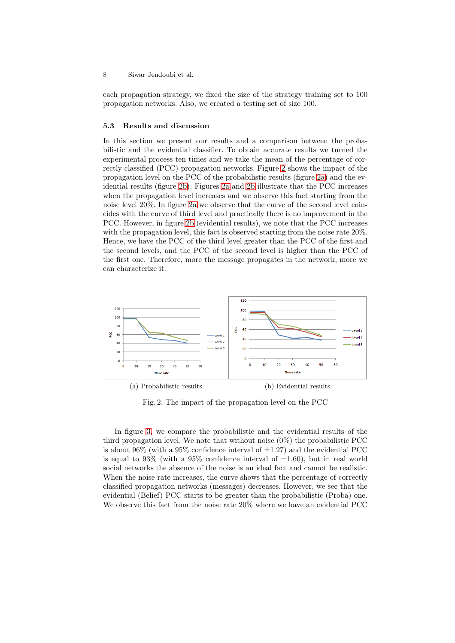### 8 Siwar Jendoubi et al.

each propagation strategy, we fixed the size of the strategy training set to 100 propagation networks. Also, we created a testing set of size 100.

### 5.3 Results and discussion

In this section we present our results and a comparison between the probabilistic and the evidential classifier. To obtain accurate results we turned the experimental process ten times and we take the mean of the percentage of correctly classified (PCC) propagation networks. Figure [2](#page-7-0) shows the impact of the propagation level on the PCC of the probabilistic results (figure [2a\)](#page-7-1) and the evidential results (figure [2b\)](#page-7-2). Figures [2a](#page-7-1) and [2b](#page-7-2) illustrate that the PCC increases when the propagation level increases and we observe this fact starting from the noise level 20%. In figure [2a](#page-7-1) we observe that the curve of the second level coincides with the curve of third level and practically there is no improvement in the PCC. However, in figure [2b](#page-7-2) (evidential results), we note that the PCC increases with the propagation level, this fact is observed starting from the noise rate 20%. Hence, we have the PCC of the third level greater than the PCC of the first and the second levels, and the PCC of the second level is higher than the PCC of the first one. Therefore, more the message propagates in the network, more we can characterize it.

<span id="page-7-1"></span><span id="page-7-0"></span>

<span id="page-7-2"></span>Fig. 2: The impact of the propagation level on the PCC

In figure [3,](#page-8-1) we compare the probabilistic and the evidential results of the third propagation level. We note that without noise  $(0\%)$  the probabilistic PCC is about 96% (with a 95% confidence interval of  $\pm 1.27$ ) and the evidential PCC is equal to 93% (with a 95% confidence interval of  $\pm 1.60$ ), but in real world social networks the absence of the noise is an ideal fact and cannot be realistic. When the noise rate increases, the curve shows that the percentage of correctly classified propagation networks (messages) decreases. However, we see that the evidential (Belief) PCC starts to be greater than the probabilistic (Proba) one. We observe this fact from the noise rate 20% where we have an evidential PCC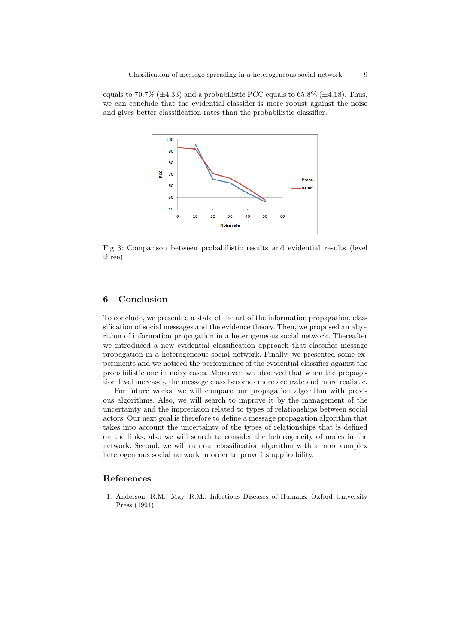<span id="page-8-1"></span>equals to 70.7% ( $\pm$ 4.33) and a probabilistic PCC equals to 65.8% ( $\pm$ 4.18). Thus, we can conclude that the evidential classifier is more robust against the noise and gives better classification rates than the probabilistic classifier.



Fig. 3: Comparison between probabilistic results and evidential results (level three)

# 6 Conclusion

To conclude, we presented a state of the art of the information propagation, classification of social messages and the evidence theory. Then, we proposed an algorithm of information propagation in a heterogeneous social network. Thereafter we introduced a new evidential classification approach that classifies message propagation in a heterogeneous social network. Finally, we presented some experiments and we noticed the performance of the evidential classifier against the probabilistic one in noisy cases. Moreover, we observed that when the propagation level increases, the message class becomes more accurate and more realistic.

For future works, we will compare our propagation algorithm with previous algorithms. Also, we will search to improve it by the management of the uncertainty and the imprecision related to types of relationships between social actors. Our next goal is therefore to define a message propagation algorithm that takes into account the uncertainty of the types of relationships that is defined on the links, also we will search to consider the heterogeneity of nodes in the network. Second, we will run our classification algorithm with a more complex heterogeneous social network in order to prove its applicability.

### References

<span id="page-8-0"></span>1. Anderson, R.M., May, R.M.: Infectious Diseases of Humans. Oxford University Press (1991)